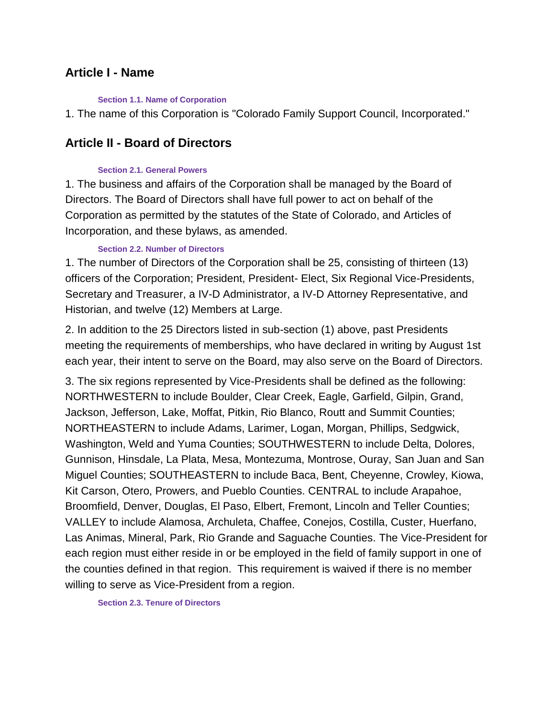## **Article I - Name**

#### **Section 1.1. Name of Corporation**

1. The name of this Corporation is "Colorado Family Support Council, Incorporated."

## **Article II - Board of Directors**

#### **Section 2.1. General Powers**

1. The business and affairs of the Corporation shall be managed by the Board of Directors. The Board of Directors shall have full power to act on behalf of the Corporation as permitted by the statutes of the State of Colorado, and Articles of Incorporation, and these bylaws, as amended.

### **Section 2.2. Number of Directors**

1. The number of Directors of the Corporation shall be 25, consisting of thirteen (13) officers of the Corporation; President, President- Elect, Six Regional Vice-Presidents, Secretary and Treasurer, a IV-D Administrator, a IV-D Attorney Representative, and Historian, and twelve (12) Members at Large.

2. In addition to the 25 Directors listed in sub-section (1) above, past Presidents meeting the requirements of memberships, who have declared in writing by August 1st each year, their intent to serve on the Board, may also serve on the Board of Directors.

3. The six regions represented by Vice-Presidents shall be defined as the following: NORTHWESTERN to include Boulder, Clear Creek, Eagle, Garfield, Gilpin, Grand, Jackson, Jefferson, Lake, Moffat, Pitkin, Rio Blanco, Routt and Summit Counties; NORTHEASTERN to include Adams, Larimer, Logan, Morgan, Phillips, Sedgwick, Washington, Weld and Yuma Counties; SOUTHWESTERN to include Delta, Dolores, Gunnison, Hinsdale, La Plata, Mesa, Montezuma, Montrose, Ouray, San Juan and San Miguel Counties; SOUTHEASTERN to include Baca, Bent, Cheyenne, Crowley, Kiowa, Kit Carson, Otero, Prowers, and Pueblo Counties. CENTRAL to include Arapahoe, Broomfield, Denver, Douglas, El Paso, Elbert, Fremont, Lincoln and Teller Counties; VALLEY to include Alamosa, Archuleta, Chaffee, Conejos, Costilla, Custer, Huerfano, Las Animas, Mineral, Park, Rio Grande and Saguache Counties. The Vice-President for each region must either reside in or be employed in the field of family support in one of the counties defined in that region. This requirement is waived if there is no member willing to serve as Vice-President from a region.

**Section 2.3. Tenure of Directors**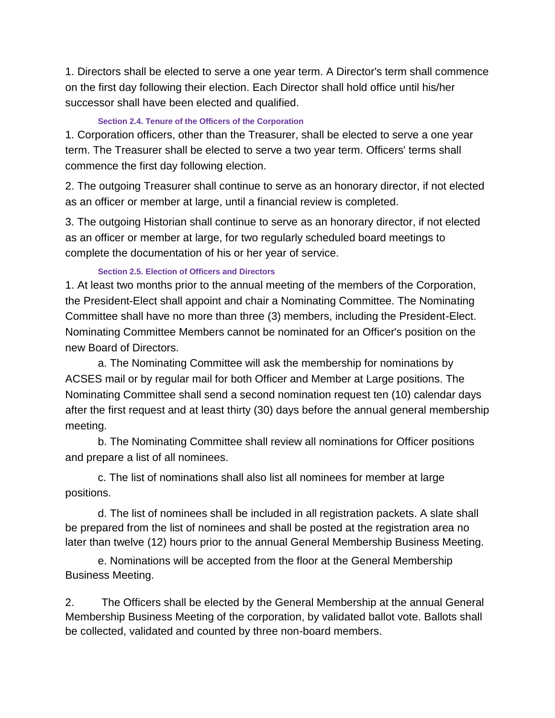1. Directors shall be elected to serve a one year term. A Director's term shall commence on the first day following their election. Each Director shall hold office until his/her successor shall have been elected and qualified.

### **Section 2.4. Tenure of the Officers of the Corporation**

1. Corporation officers, other than the Treasurer, shall be elected to serve a one year term. The Treasurer shall be elected to serve a two year term. Officers' terms shall commence the first day following election.

2. The outgoing Treasurer shall continue to serve as an honorary director, if not elected as an officer or member at large, until a financial review is completed.

3. The outgoing Historian shall continue to serve as an honorary director, if not elected as an officer or member at large, for two regularly scheduled board meetings to complete the documentation of his or her year of service.

## **Section 2.5. Election of Officers and Directors**

1. At least two months prior to the annual meeting of the members of the Corporation, the President-Elect shall appoint and chair a Nominating Committee. The Nominating Committee shall have no more than three (3) members, including the President-Elect. Nominating Committee Members cannot be nominated for an Officer's position on the new Board of Directors.

a. The Nominating Committee will ask the membership for nominations by ACSES mail or by regular mail for both Officer and Member at Large positions. The Nominating Committee shall send a second nomination request ten (10) calendar days after the first request and at least thirty (30) days before the annual general membership meeting.

b. The Nominating Committee shall review all nominations for Officer positions and prepare a list of all nominees.

c. The list of nominations shall also list all nominees for member at large positions.

d. The list of nominees shall be included in all registration packets. A slate shall be prepared from the list of nominees and shall be posted at the registration area no later than twelve (12) hours prior to the annual General Membership Business Meeting.

e. Nominations will be accepted from the floor at the General Membership Business Meeting.

2. The Officers shall be elected by the General Membership at the annual General Membership Business Meeting of the corporation, by validated ballot vote. Ballots shall be collected, validated and counted by three non-board members.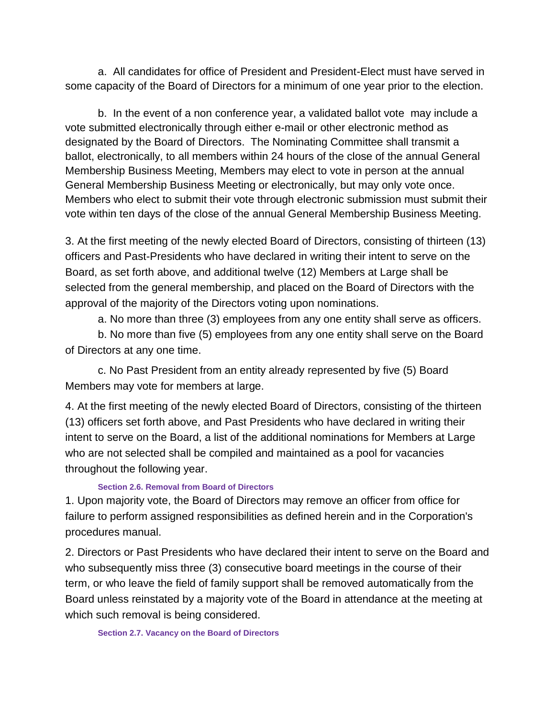a. All candidates for office of President and President-Elect must have served in some capacity of the Board of Directors for a minimum of one year prior to the election.

b. In the event of a non conference year, a validated ballot vote may include a vote submitted electronically through either e-mail or other electronic method as designated by the Board of Directors. The Nominating Committee shall transmit a ballot, electronically, to all members within 24 hours of the close of the annual General Membership Business Meeting, Members may elect to vote in person at the annual General Membership Business Meeting or electronically, but may only vote once. Members who elect to submit their vote through electronic submission must submit their vote within ten days of the close of the annual General Membership Business Meeting.

3. At the first meeting of the newly elected Board of Directors, consisting of thirteen (13) officers and Past-Presidents who have declared in writing their intent to serve on the Board, as set forth above, and additional twelve (12) Members at Large shall be selected from the general membership, and placed on the Board of Directors with the approval of the majority of the Directors voting upon nominations.

a. No more than three (3) employees from any one entity shall serve as officers.

b. No more than five (5) employees from any one entity shall serve on the Board of Directors at any one time.

c. No Past President from an entity already represented by five (5) Board Members may vote for members at large.

4. At the first meeting of the newly elected Board of Directors, consisting of the thirteen (13) officers set forth above, and Past Presidents who have declared in writing their intent to serve on the Board, a list of the additional nominations for Members at Large who are not selected shall be compiled and maintained as a pool for vacancies throughout the following year.

#### **Section 2.6. Removal from Board of Directors**

1. Upon majority vote, the Board of Directors may remove an officer from office for failure to perform assigned responsibilities as defined herein and in the Corporation's procedures manual.

2. Directors or Past Presidents who have declared their intent to serve on the Board and who subsequently miss three (3) consecutive board meetings in the course of their term, or who leave the field of family support shall be removed automatically from the Board unless reinstated by a majority vote of the Board in attendance at the meeting at which such removal is being considered.

**Section 2.7. Vacancy on the Board of Directors**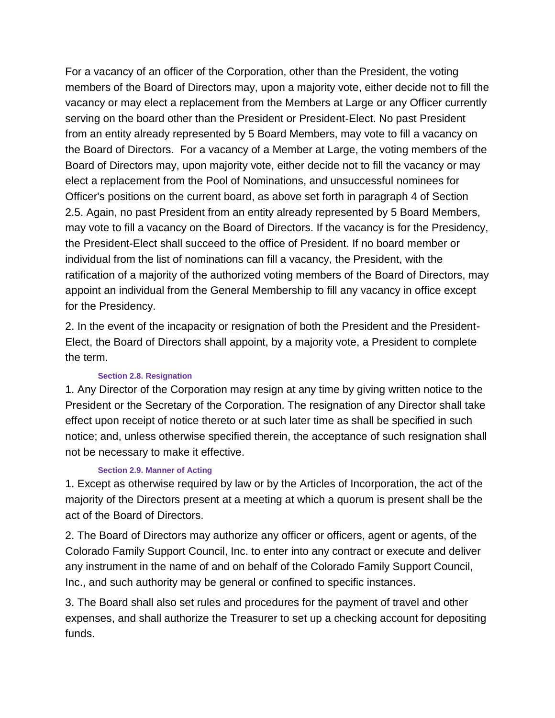For a vacancy of an officer of the Corporation, other than the President, the voting members of the Board of Directors may, upon a majority vote, either decide not to fill the vacancy or may elect a replacement from the Members at Large or any Officer currently serving on the board other than the President or President-Elect. No past President from an entity already represented by 5 Board Members, may vote to fill a vacancy on the Board of Directors. For a vacancy of a Member at Large, the voting members of the Board of Directors may, upon majority vote, either decide not to fill the vacancy or may elect a replacement from the Pool of Nominations, and unsuccessful nominees for Officer's positions on the current board, as above set forth in paragraph 4 of Section 2.5. Again, no past President from an entity already represented by 5 Board Members, may vote to fill a vacancy on the Board of Directors. If the vacancy is for the Presidency, the President-Elect shall succeed to the office of President. If no board member or individual from the list of nominations can fill a vacancy, the President, with the ratification of a majority of the authorized voting members of the Board of Directors, may appoint an individual from the General Membership to fill any vacancy in office except for the Presidency.

2. In the event of the incapacity or resignation of both the President and the President-Elect, the Board of Directors shall appoint, by a majority vote, a President to complete the term.

#### **Section 2.8. Resignation**

1. Any Director of the Corporation may resign at any time by giving written notice to the President or the Secretary of the Corporation. The resignation of any Director shall take effect upon receipt of notice thereto or at such later time as shall be specified in such notice; and, unless otherwise specified therein, the acceptance of such resignation shall not be necessary to make it effective.

#### **Section 2.9. Manner of Acting**

1. Except as otherwise required by law or by the Articles of Incorporation, the act of the majority of the Directors present at a meeting at which a quorum is present shall be the act of the Board of Directors.

2. The Board of Directors may authorize any officer or officers, agent or agents, of the Colorado Family Support Council, Inc. to enter into any contract or execute and deliver any instrument in the name of and on behalf of the Colorado Family Support Council, Inc., and such authority may be general or confined to specific instances.

3. The Board shall also set rules and procedures for the payment of travel and other expenses, and shall authorize the Treasurer to set up a checking account for depositing funds.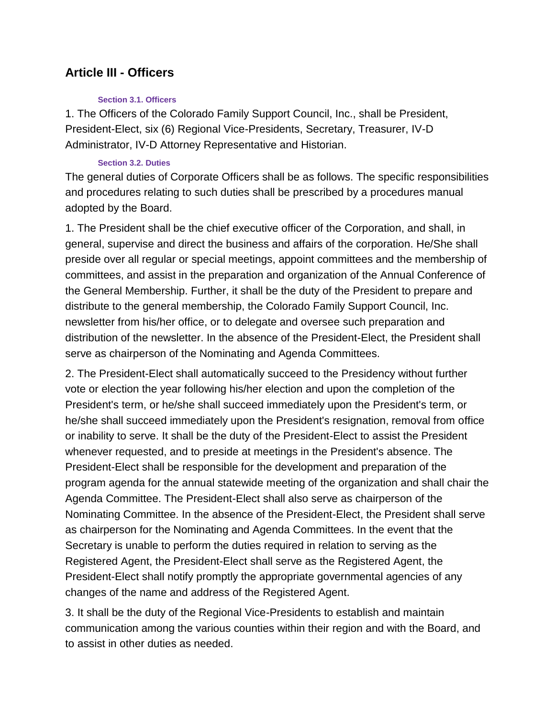## **Article III - Officers**

#### **Section 3.1. Officers**

1. The Officers of the Colorado Family Support Council, Inc., shall be President, President-Elect, six (6) Regional Vice-Presidents, Secretary, Treasurer, IV-D Administrator, IV-D Attorney Representative and Historian.

### **Section 3.2. Duties**

The general duties of Corporate Officers shall be as follows. The specific responsibilities and procedures relating to such duties shall be prescribed by a procedures manual adopted by the Board.

1. The President shall be the chief executive officer of the Corporation, and shall, in general, supervise and direct the business and affairs of the corporation. He/She shall preside over all regular or special meetings, appoint committees and the membership of committees, and assist in the preparation and organization of the Annual Conference of the General Membership. Further, it shall be the duty of the President to prepare and distribute to the general membership, the Colorado Family Support Council, Inc. newsletter from his/her office, or to delegate and oversee such preparation and distribution of the newsletter. In the absence of the President-Elect, the President shall serve as chairperson of the Nominating and Agenda Committees.

2. The President-Elect shall automatically succeed to the Presidency without further vote or election the year following his/her election and upon the completion of the President's term, or he/she shall succeed immediately upon the President's term, or he/she shall succeed immediately upon the President's resignation, removal from office or inability to serve. It shall be the duty of the President-Elect to assist the President whenever requested, and to preside at meetings in the President's absence. The President-Elect shall be responsible for the development and preparation of the program agenda for the annual statewide meeting of the organization and shall chair the Agenda Committee. The President-Elect shall also serve as chairperson of the Nominating Committee. In the absence of the President-Elect, the President shall serve as chairperson for the Nominating and Agenda Committees. In the event that the Secretary is unable to perform the duties required in relation to serving as the Registered Agent, the President-Elect shall serve as the Registered Agent, the President-Elect shall notify promptly the appropriate governmental agencies of any changes of the name and address of the Registered Agent.

3. It shall be the duty of the Regional Vice-Presidents to establish and maintain communication among the various counties within their region and with the Board, and to assist in other duties as needed.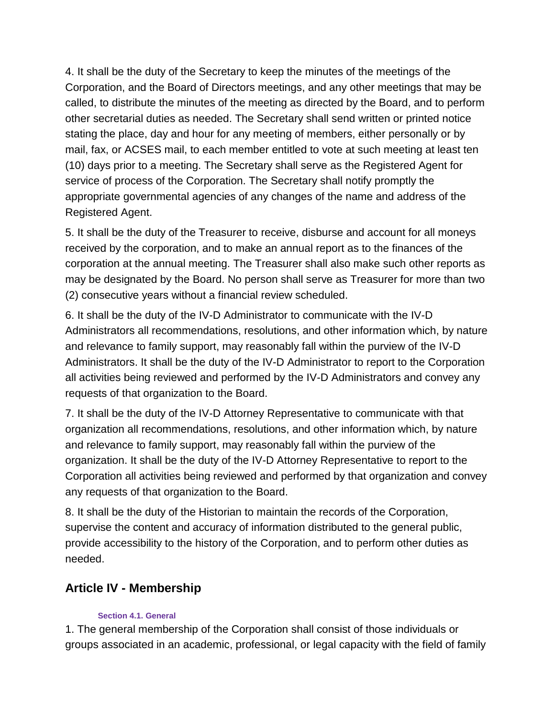4. It shall be the duty of the Secretary to keep the minutes of the meetings of the Corporation, and the Board of Directors meetings, and any other meetings that may be called, to distribute the minutes of the meeting as directed by the Board, and to perform other secretarial duties as needed. The Secretary shall send written or printed notice stating the place, day and hour for any meeting of members, either personally or by mail, fax, or ACSES mail, to each member entitled to vote at such meeting at least ten (10) days prior to a meeting. The Secretary shall serve as the Registered Agent for service of process of the Corporation. The Secretary shall notify promptly the appropriate governmental agencies of any changes of the name and address of the Registered Agent.

5. It shall be the duty of the Treasurer to receive, disburse and account for all moneys received by the corporation, and to make an annual report as to the finances of the corporation at the annual meeting. The Treasurer shall also make such other reports as may be designated by the Board. No person shall serve as Treasurer for more than two (2) consecutive years without a financial review scheduled.

6. It shall be the duty of the IV-D Administrator to communicate with the IV-D Administrators all recommendations, resolutions, and other information which, by nature and relevance to family support, may reasonably fall within the purview of the IV-D Administrators. It shall be the duty of the IV-D Administrator to report to the Corporation all activities being reviewed and performed by the IV-D Administrators and convey any requests of that organization to the Board.

7. It shall be the duty of the IV-D Attorney Representative to communicate with that organization all recommendations, resolutions, and other information which, by nature and relevance to family support, may reasonably fall within the purview of the organization. It shall be the duty of the IV-D Attorney Representative to report to the Corporation all activities being reviewed and performed by that organization and convey any requests of that organization to the Board.

8. It shall be the duty of the Historian to maintain the records of the Corporation, supervise the content and accuracy of information distributed to the general public, provide accessibility to the history of the Corporation, and to perform other duties as needed.

# **Article IV - Membership**

## **Section 4.1. General**

1. The general membership of the Corporation shall consist of those individuals or groups associated in an academic, professional, or legal capacity with the field of family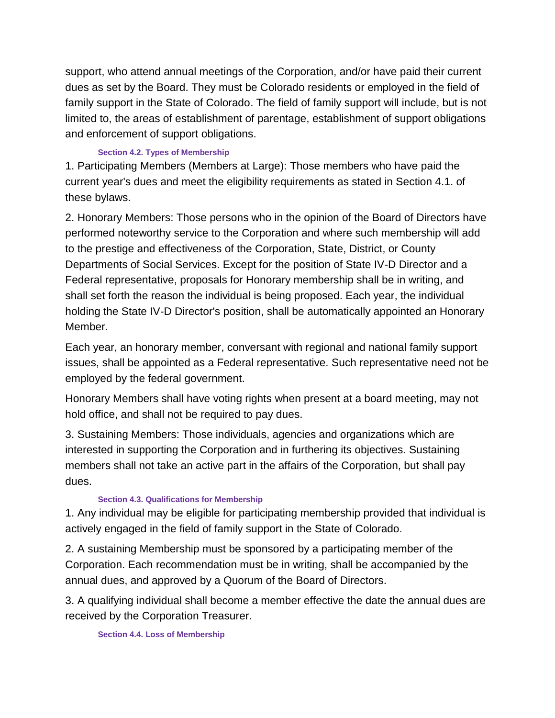support, who attend annual meetings of the Corporation, and/or have paid their current dues as set by the Board. They must be Colorado residents or employed in the field of family support in the State of Colorado. The field of family support will include, but is not limited to, the areas of establishment of parentage, establishment of support obligations and enforcement of support obligations.

## **Section 4.2. Types of Membership**

1. Participating Members (Members at Large): Those members who have paid the current year's dues and meet the eligibility requirements as stated in Section 4.1. of these bylaws.

2. Honorary Members: Those persons who in the opinion of the Board of Directors have performed noteworthy service to the Corporation and where such membership will add to the prestige and effectiveness of the Corporation, State, District, or County Departments of Social Services. Except for the position of State IV-D Director and a Federal representative, proposals for Honorary membership shall be in writing, and shall set forth the reason the individual is being proposed. Each year, the individual holding the State IV-D Director's position, shall be automatically appointed an Honorary Member.

Each year, an honorary member, conversant with regional and national family support issues, shall be appointed as a Federal representative. Such representative need not be employed by the federal government.

Honorary Members shall have voting rights when present at a board meeting, may not hold office, and shall not be required to pay dues.

3. Sustaining Members: Those individuals, agencies and organizations which are interested in supporting the Corporation and in furthering its objectives. Sustaining members shall not take an active part in the affairs of the Corporation, but shall pay dues.

## **Section 4.3. Qualifications for Membership**

1. Any individual may be eligible for participating membership provided that individual is actively engaged in the field of family support in the State of Colorado.

2. A sustaining Membership must be sponsored by a participating member of the Corporation. Each recommendation must be in writing, shall be accompanied by the annual dues, and approved by a Quorum of the Board of Directors.

3. A qualifying individual shall become a member effective the date the annual dues are received by the Corporation Treasurer.

**Section 4.4. Loss of Membership**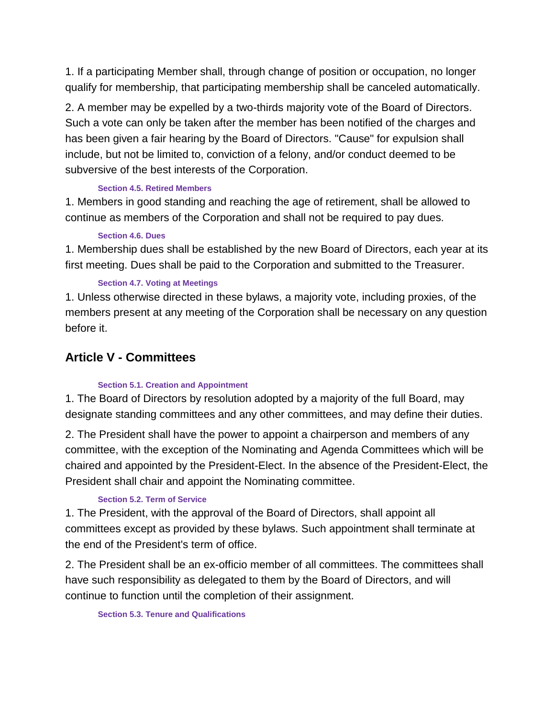1. If a participating Member shall, through change of position or occupation, no longer qualify for membership, that participating membership shall be canceled automatically.

2. A member may be expelled by a two-thirds majority vote of the Board of Directors. Such a vote can only be taken after the member has been notified of the charges and has been given a fair hearing by the Board of Directors. "Cause" for expulsion shall include, but not be limited to, conviction of a felony, and/or conduct deemed to be subversive of the best interests of the Corporation.

## **Section 4.5. Retired Members**

1. Members in good standing and reaching the age of retirement, shall be allowed to continue as members of the Corporation and shall not be required to pay dues.

### **Section 4.6. Dues**

1. Membership dues shall be established by the new Board of Directors, each year at its first meeting. Dues shall be paid to the Corporation and submitted to the Treasurer.

## **Section 4.7. Voting at Meetings**

1. Unless otherwise directed in these bylaws, a majority vote, including proxies, of the members present at any meeting of the Corporation shall be necessary on any question before it.

# **Article V - Committees**

## **Section 5.1. Creation and Appointment**

1. The Board of Directors by resolution adopted by a majority of the full Board, may designate standing committees and any other committees, and may define their duties.

2. The President shall have the power to appoint a chairperson and members of any committee, with the exception of the Nominating and Agenda Committees which will be chaired and appointed by the President-Elect. In the absence of the President-Elect, the President shall chair and appoint the Nominating committee.

## **Section 5.2. Term of Service**

1. The President, with the approval of the Board of Directors, shall appoint all committees except as provided by these bylaws. Such appointment shall terminate at the end of the President's term of office.

2. The President shall be an ex-officio member of all committees. The committees shall have such responsibility as delegated to them by the Board of Directors, and will continue to function until the completion of their assignment.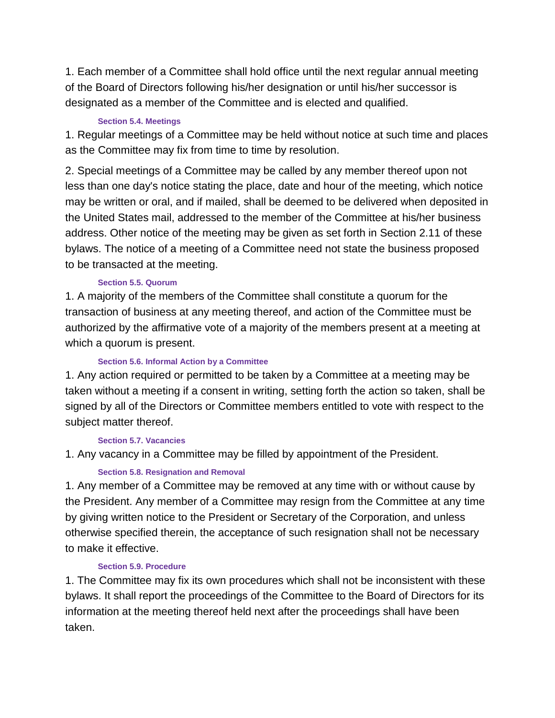1. Each member of a Committee shall hold office until the next regular annual meeting of the Board of Directors following his/her designation or until his/her successor is designated as a member of the Committee and is elected and qualified.

### **Section 5.4. Meetings**

1. Regular meetings of a Committee may be held without notice at such time and places as the Committee may fix from time to time by resolution.

2. Special meetings of a Committee may be called by any member thereof upon not less than one day's notice stating the place, date and hour of the meeting, which notice may be written or oral, and if mailed, shall be deemed to be delivered when deposited in the United States mail, addressed to the member of the Committee at his/her business address. Other notice of the meeting may be given as set forth in Section 2.11 of these bylaws. The notice of a meeting of a Committee need not state the business proposed to be transacted at the meeting.

## **Section 5.5. Quorum**

1. A majority of the members of the Committee shall constitute a quorum for the transaction of business at any meeting thereof, and action of the Committee must be authorized by the affirmative vote of a majority of the members present at a meeting at which a quorum is present.

### **Section 5.6. Informal Action by a Committee**

1. Any action required or permitted to be taken by a Committee at a meeting may be taken without a meeting if a consent in writing, setting forth the action so taken, shall be signed by all of the Directors or Committee members entitled to vote with respect to the subject matter thereof.

#### **Section 5.7. Vacancies**

1. Any vacancy in a Committee may be filled by appointment of the President.

## **Section 5.8. Resignation and Removal**

1. Any member of a Committee may be removed at any time with or without cause by the President. Any member of a Committee may resign from the Committee at any time by giving written notice to the President or Secretary of the Corporation, and unless otherwise specified therein, the acceptance of such resignation shall not be necessary to make it effective.

## **Section 5.9. Procedure**

1. The Committee may fix its own procedures which shall not be inconsistent with these bylaws. It shall report the proceedings of the Committee to the Board of Directors for its information at the meeting thereof held next after the proceedings shall have been taken.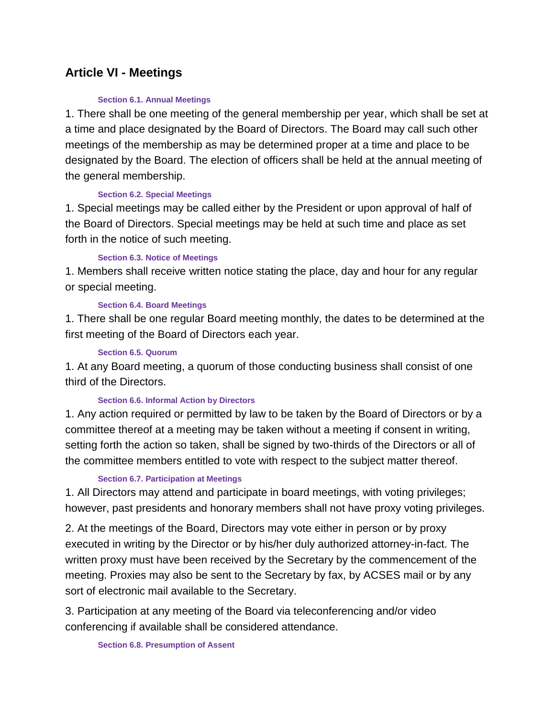## **Article VI - Meetings**

#### **Section 6.1. Annual Meetings**

1. There shall be one meeting of the general membership per year, which shall be set at a time and place designated by the Board of Directors. The Board may call such other meetings of the membership as may be determined proper at a time and place to be designated by the Board. The election of officers shall be held at the annual meeting of the general membership.

#### **Section 6.2. Special Meetings**

1. Special meetings may be called either by the President or upon approval of half of the Board of Directors. Special meetings may be held at such time and place as set forth in the notice of such meeting.

#### **Section 6.3. Notice of Meetings**

1. Members shall receive written notice stating the place, day and hour for any regular or special meeting.

#### **Section 6.4. Board Meetings**

1. There shall be one regular Board meeting monthly, the dates to be determined at the first meeting of the Board of Directors each year.

#### **Section 6.5. Quorum**

1. At any Board meeting, a quorum of those conducting business shall consist of one third of the Directors.

#### **Section 6.6. Informal Action by Directors**

1. Any action required or permitted by law to be taken by the Board of Directors or by a committee thereof at a meeting may be taken without a meeting if consent in writing, setting forth the action so taken, shall be signed by two-thirds of the Directors or all of the committee members entitled to vote with respect to the subject matter thereof.

#### **Section 6.7. Participation at Meetings**

1. All Directors may attend and participate in board meetings, with voting privileges; however, past presidents and honorary members shall not have proxy voting privileges.

2. At the meetings of the Board, Directors may vote either in person or by proxy executed in writing by the Director or by his/her duly authorized attorney-in-fact. The written proxy must have been received by the Secretary by the commencement of the meeting. Proxies may also be sent to the Secretary by fax, by ACSES mail or by any sort of electronic mail available to the Secretary.

3. Participation at any meeting of the Board via teleconferencing and/or video conferencing if available shall be considered attendance.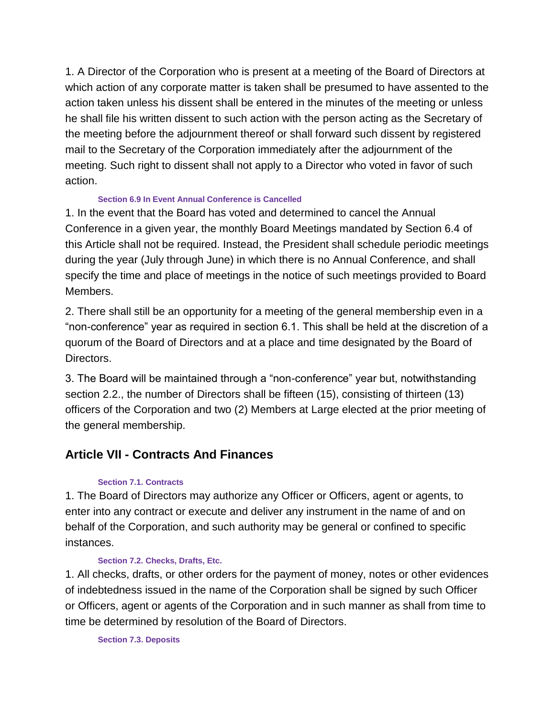1. A Director of the Corporation who is present at a meeting of the Board of Directors at which action of any corporate matter is taken shall be presumed to have assented to the action taken unless his dissent shall be entered in the minutes of the meeting or unless he shall file his written dissent to such action with the person acting as the Secretary of the meeting before the adjournment thereof or shall forward such dissent by registered mail to the Secretary of the Corporation immediately after the adjournment of the meeting. Such right to dissent shall not apply to a Director who voted in favor of such action.

#### **Section 6.9 In Event Annual Conference is Cancelled**

1. In the event that the Board has voted and determined to cancel the Annual Conference in a given year, the monthly Board Meetings mandated by Section 6.4 of this Article shall not be required. Instead, the President shall schedule periodic meetings during the year (July through June) in which there is no Annual Conference, and shall specify the time and place of meetings in the notice of such meetings provided to Board Members.

2. There shall still be an opportunity for a meeting of the general membership even in a "non-conference" year as required in section 6.1. This shall be held at the discretion of a quorum of the Board of Directors and at a place and time designated by the Board of Directors.

3. The Board will be maintained through a "non-conference" year but, notwithstanding section 2.2., the number of Directors shall be fifteen (15), consisting of thirteen (13) officers of the Corporation and two (2) Members at Large elected at the prior meeting of the general membership.

# **Article VII - Contracts And Finances**

## **Section 7.1. Contracts**

1. The Board of Directors may authorize any Officer or Officers, agent or agents, to enter into any contract or execute and deliver any instrument in the name of and on behalf of the Corporation, and such authority may be general or confined to specific instances.

## **Section 7.2. Checks, Drafts, Etc.**

1. All checks, drafts, or other orders for the payment of money, notes or other evidences of indebtedness issued in the name of the Corporation shall be signed by such Officer or Officers, agent or agents of the Corporation and in such manner as shall from time to time be determined by resolution of the Board of Directors.

**Section 7.3. Deposits**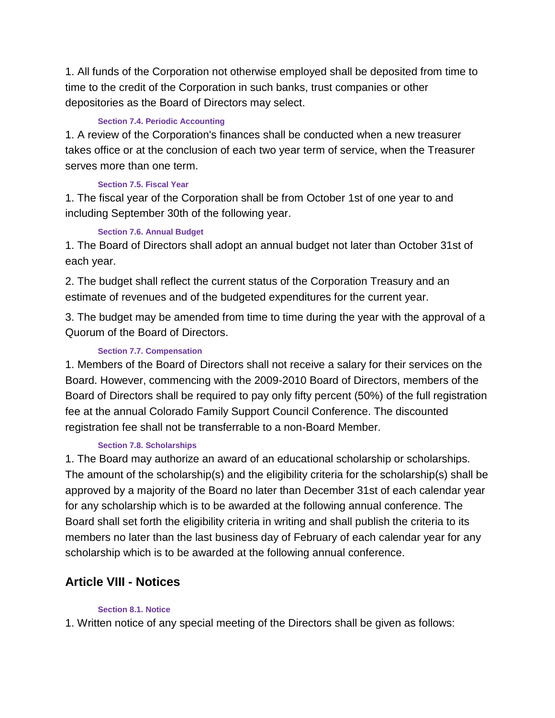1. All funds of the Corporation not otherwise employed shall be deposited from time to time to the credit of the Corporation in such banks, trust companies or other depositories as the Board of Directors may select.

### **Section 7.4. Periodic Accounting**

1. A review of the Corporation's finances shall be conducted when a new treasurer takes office or at the conclusion of each two year term of service, when the Treasurer serves more than one term.

## **Section 7.5. Fiscal Year**

1. The fiscal year of the Corporation shall be from October 1st of one year to and including September 30th of the following year.

### **Section 7.6. Annual Budget**

1. The Board of Directors shall adopt an annual budget not later than October 31st of each year.

2. The budget shall reflect the current status of the Corporation Treasury and an estimate of revenues and of the budgeted expenditures for the current year.

3. The budget may be amended from time to time during the year with the approval of a Quorum of the Board of Directors.

## **Section 7.7. Compensation**

1. Members of the Board of Directors shall not receive a salary for their services on the Board. However, commencing with the 2009-2010 Board of Directors, members of the Board of Directors shall be required to pay only fifty percent (50%) of the full registration fee at the annual Colorado Family Support Council Conference. The discounted registration fee shall not be transferrable to a non-Board Member.

## **Section 7.8. Scholarships**

1. The Board may authorize an award of an educational scholarship or scholarships. The amount of the scholarship(s) and the eligibility criteria for the scholarship(s) shall be approved by a majority of the Board no later than December 31st of each calendar year for any scholarship which is to be awarded at the following annual conference. The Board shall set forth the eligibility criteria in writing and shall publish the criteria to its members no later than the last business day of February of each calendar year for any scholarship which is to be awarded at the following annual conference.

# **Article VIII - Notices**

#### **Section 8.1. Notice**

1. Written notice of any special meeting of the Directors shall be given as follows: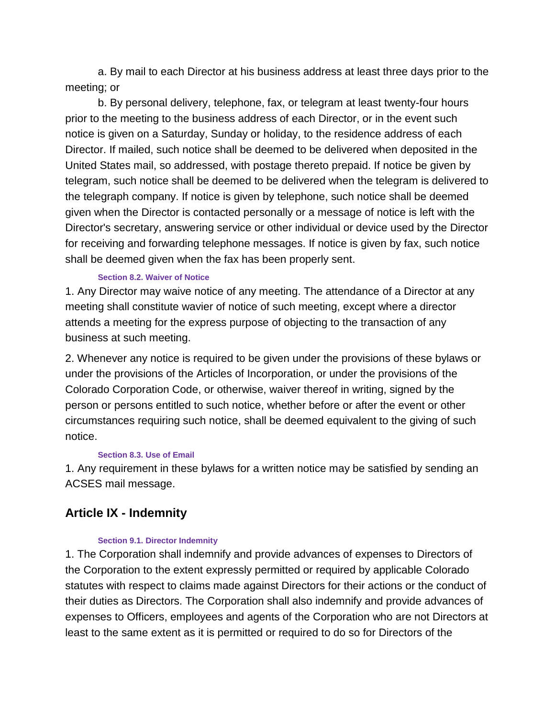a. By mail to each Director at his business address at least three days prior to the meeting; or

b. By personal delivery, telephone, fax, or telegram at least twenty-four hours prior to the meeting to the business address of each Director, or in the event such notice is given on a Saturday, Sunday or holiday, to the residence address of each Director. If mailed, such notice shall be deemed to be delivered when deposited in the United States mail, so addressed, with postage thereto prepaid. If notice be given by telegram, such notice shall be deemed to be delivered when the telegram is delivered to the telegraph company. If notice is given by telephone, such notice shall be deemed given when the Director is contacted personally or a message of notice is left with the Director's secretary, answering service or other individual or device used by the Director for receiving and forwarding telephone messages. If notice is given by fax, such notice shall be deemed given when the fax has been properly sent.

## **Section 8.2. Waiver of Notice**

1. Any Director may waive notice of any meeting. The attendance of a Director at any meeting shall constitute wavier of notice of such meeting, except where a director attends a meeting for the express purpose of objecting to the transaction of any business at such meeting.

2. Whenever any notice is required to be given under the provisions of these bylaws or under the provisions of the Articles of Incorporation, or under the provisions of the Colorado Corporation Code, or otherwise, waiver thereof in writing, signed by the person or persons entitled to such notice, whether before or after the event or other circumstances requiring such notice, shall be deemed equivalent to the giving of such notice.

#### **Section 8.3. Use of Email**

1. Any requirement in these bylaws for a written notice may be satisfied by sending an ACSES mail message.

# **Article IX - Indemnity**

#### **Section 9.1. Director Indemnity**

1. The Corporation shall indemnify and provide advances of expenses to Directors of the Corporation to the extent expressly permitted or required by applicable Colorado statutes with respect to claims made against Directors for their actions or the conduct of their duties as Directors. The Corporation shall also indemnify and provide advances of expenses to Officers, employees and agents of the Corporation who are not Directors at least to the same extent as it is permitted or required to do so for Directors of the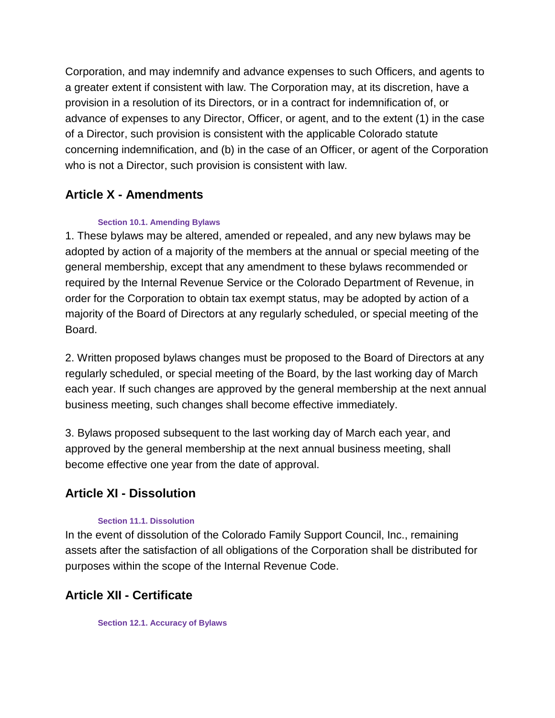Corporation, and may indemnify and advance expenses to such Officers, and agents to a greater extent if consistent with law. The Corporation may, at its discretion, have a provision in a resolution of its Directors, or in a contract for indemnification of, or advance of expenses to any Director, Officer, or agent, and to the extent (1) in the case of a Director, such provision is consistent with the applicable Colorado statute concerning indemnification, and (b) in the case of an Officer, or agent of the Corporation who is not a Director, such provision is consistent with law.

# **Article X - Amendments**

### **Section 10.1. Amending Bylaws**

1. These bylaws may be altered, amended or repealed, and any new bylaws may be adopted by action of a majority of the members at the annual or special meeting of the general membership, except that any amendment to these bylaws recommended or required by the Internal Revenue Service or the Colorado Department of Revenue, in order for the Corporation to obtain tax exempt status, may be adopted by action of a majority of the Board of Directors at any regularly scheduled, or special meeting of the Board.

2. Written proposed bylaws changes must be proposed to the Board of Directors at any regularly scheduled, or special meeting of the Board, by the last working day of March each year. If such changes are approved by the general membership at the next annual business meeting, such changes shall become effective immediately.

3. Bylaws proposed subsequent to the last working day of March each year, and approved by the general membership at the next annual business meeting, shall become effective one year from the date of approval.

## **Article XI - Dissolution**

#### **Section 11.1. Dissolution**

In the event of dissolution of the Colorado Family Support Council, Inc., remaining assets after the satisfaction of all obligations of the Corporation shall be distributed for purposes within the scope of the Internal Revenue Code.

# **Article XII - Certificate**

**Section 12.1. Accuracy of Bylaws**